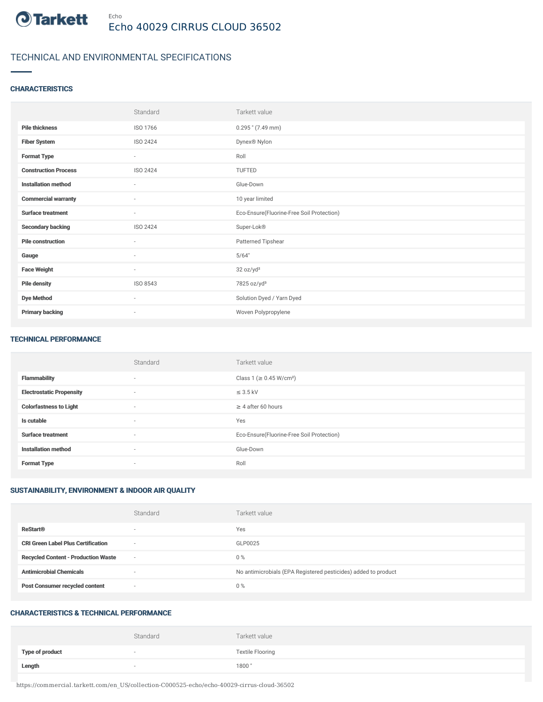

## TECHNICAL AND ENVIRONMENTAL SPECIFICATIONS

## **CHARACTERISTICS**

|                             | Standard                 | Tarkett value                             |
|-----------------------------|--------------------------|-------------------------------------------|
| <b>Pile thickness</b>       | ISO 1766                 | $0.295$ " (7.49 mm)                       |
| <b>Fiber System</b>         | ISO 2424                 | Dynex <sup>®</sup> Nylon                  |
| <b>Format Type</b>          | $\overline{\phantom{a}}$ | Roll                                      |
| <b>Construction Process</b> | ISO 2424                 | TUFTED                                    |
| <b>Installation method</b>  | ٠                        | Glue-Down                                 |
| <b>Commercial warranty</b>  | $\overline{\phantom{a}}$ | 10 year limited                           |
| <b>Surface treatment</b>    | $\sim$                   | Eco-Ensure(Fluorine-Free Soil Protection) |
| <b>Secondary backing</b>    | ISO 2424                 | Super-Lok®                                |
| <b>Pile construction</b>    | $\sim$                   | Patterned Tipshear                        |
| Gauge                       | $\sim$                   | 5/64"                                     |
| <b>Face Weight</b>          | $\overline{\phantom{a}}$ | 32 oz/yd <sup>2</sup>                     |
| <b>Pile density</b>         | ISO 8543                 | 7825 oz/yd <sup>3</sup>                   |
| <b>Dye Method</b>           | $\overline{\phantom{a}}$ | Solution Dyed / Yarn Dyed                 |
| <b>Primary backing</b>      | $\sim$                   | Woven Polypropylene                       |

#### TECHNICAL PERFORMANCE

|                                 | Standard | Tarkett value                             |
|---------------------------------|----------|-------------------------------------------|
| <b>Flammability</b>             | $\sim$   | Class 1 (≥ 0.45 W/cm <sup>2</sup> )       |
| <b>Electrostatic Propensity</b> | $\sim$   | $\leq$ 3.5 kV                             |
| <b>Colorfastness to Light</b>   | $\sim$   | $\geq$ 4 after 60 hours                   |
| Is cutable                      | $\sim$   | Yes                                       |
| <b>Surface treatment</b>        | $\sim$   | Eco-Ensure(Fluorine-Free Soil Protection) |
| <b>Installation method</b>      | $\sim$   | Glue-Down                                 |
| <b>Format Type</b>              | $\sim$   | Roll                                      |

## SUSTAINABILITY, ENVIRONMENT & INDOOR AIR QUALITY

|                                            | Standard                 | Tarkett value                                                  |
|--------------------------------------------|--------------------------|----------------------------------------------------------------|
| <b>ReStart®</b>                            | $\overline{\phantom{a}}$ | Yes                                                            |
| <b>CRI Green Label Plus Certification</b>  | $\overline{\phantom{a}}$ | GLP0025                                                        |
| <b>Recycled Content - Production Waste</b> | $\sim$                   | $0\%$                                                          |
| <b>Antimicrobial Chemicals</b>             |                          | No antimicrobials (EPA Registered pesticides) added to product |
| <b>Post Consumer recycled content</b>      | $\overline{\phantom{a}}$ | $0\%$                                                          |

#### CHARACTERISTICS & TECHNICAL PERFORMANCE

|                 | Standard | Tarkett value           |
|-----------------|----------|-------------------------|
| Type of product | $\sim$   | <b>Textile Flooring</b> |
| Length          | $\sim$   | 1800"                   |

https://commercial.tarkett.com/en\_US/collection-C000525-echo/echo-40029-cirrus-cloud-36502